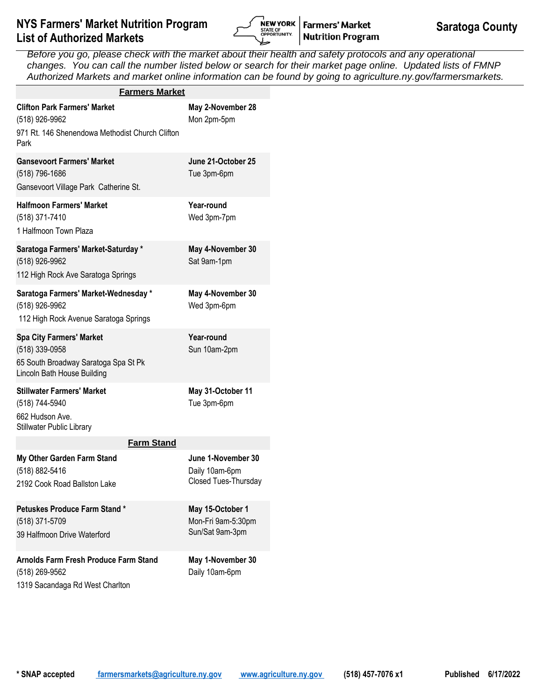

| <b>Farmers Market</b>                                                                                                    |                                                              |
|--------------------------------------------------------------------------------------------------------------------------|--------------------------------------------------------------|
| <b>Clifton Park Farmers' Market</b><br>(518) 926-9962<br>971 Rt. 146 Shenendowa Methodist Church Clifton<br>Park         | May 2-November 28<br>Mon 2pm-5pm                             |
| <b>Gansevoort Farmers' Market</b><br>(518) 796-1686<br>Gansevoort Village Park Catherine St.                             | June 21-October 25<br>Tue 3pm-6pm                            |
| <b>Halfmoon Farmers' Market</b><br>(518) 371-7410<br>1 Halfmoon Town Plaza                                               | Year-round<br>Wed 3pm-7pm                                    |
| Saratoga Farmers' Market-Saturday *<br>(518) 926-9962<br>112 High Rock Ave Saratoga Springs                              | May 4-November 30<br>Sat 9am-1pm                             |
| Saratoga Farmers' Market-Wednesday *<br>(518) 926-9962<br>112 High Rock Avenue Saratoga Springs                          | May 4-November 30<br>Wed 3pm-6pm                             |
| <b>Spa City Farmers' Market</b><br>(518) 339-0958<br>65 South Broadway Saratoga Spa St Pk<br>Lincoln Bath House Building | Year-round<br>Sun 10am-2pm                                   |
| <b>Stillwater Farmers' Market</b><br>(518) 744-5940<br>662 Hudson Ave.<br>Stillwater Public Library                      | May 31-October 11<br>Tue 3pm-6pm                             |
| <b>Farm Stand</b>                                                                                                        |                                                              |
| My Other Garden Farm Stand<br>(518) 882-5416<br>2192 Cook Road Ballston Lake                                             | June 1-November 30<br>Daily 10am-6pm<br>Closed Tues-Thursday |
| <b>Petuskes Produce Farm Stand*</b><br>(518) 371-5709<br>39 Halfmoon Drive Waterford                                     | May 15-October 1<br>Mon-Fri 9am-5:30pm<br>Sun/Sat 9am-3pm    |
| <b>Arnolds Farm Fresh Produce Farm Stand</b><br>(518) 269-9562<br>1319 Sacandaga Rd West Charlton                        | May 1-November 30<br>Daily 10am-6pm                          |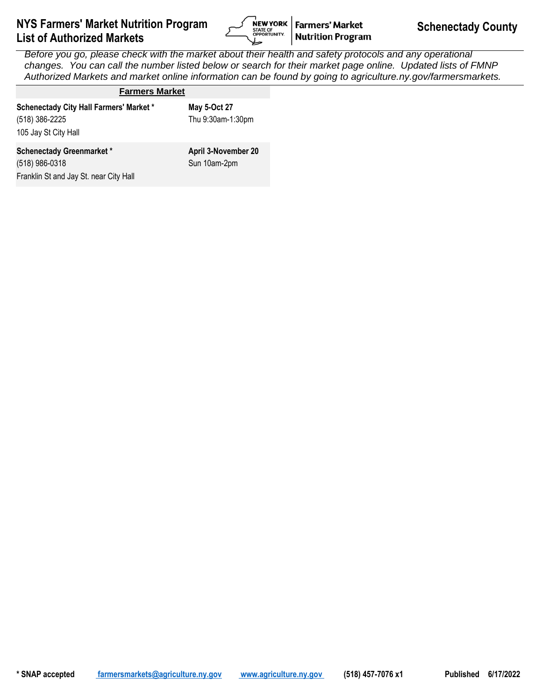

| <b>Farmers Market</b>                                                                       |                                     |
|---------------------------------------------------------------------------------------------|-------------------------------------|
| <b>Schenectady City Hall Farmers' Market *</b><br>(518) 386-2225<br>105 Jay St City Hall    | May 5-Oct 27<br>Thu 9:30am-1:30pm   |
| <b>Schenectady Greenmarket*</b><br>(518) 986-0318<br>Franklin St and Jay St. near City Hall | April 3-November 20<br>Sun 10am-2pm |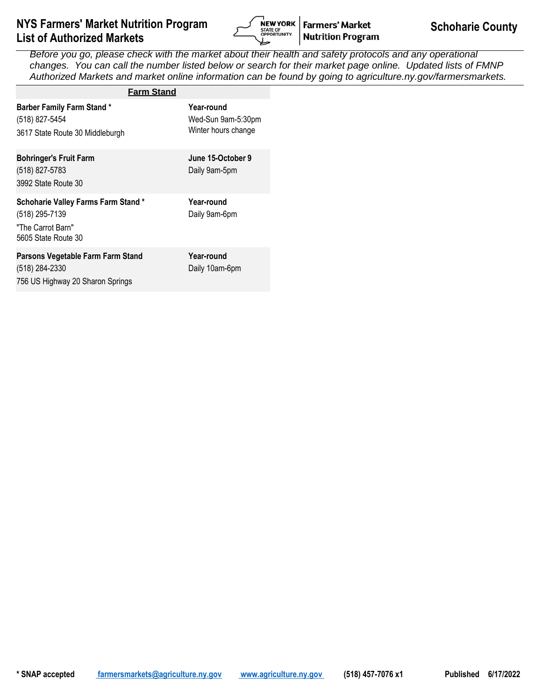

| <b>Farm Stand</b>                                                                                       |                                                         |
|---------------------------------------------------------------------------------------------------------|---------------------------------------------------------|
| <b>Barber Family Farm Stand*</b><br>(518) 827-5454<br>3617 State Route 30 Middleburgh                   | Year-round<br>Wed-Sun 9am-5:30pm<br>Winter hours change |
| <b>Bohringer's Fruit Farm</b><br>(518) 827-5783<br>3992 State Route 30                                  | June 15-October 9<br>Daily 9am-5pm                      |
| <b>Schoharie Valley Farms Farm Stand*</b><br>(518) 295-7139<br>"The Carrot Barn"<br>5605 State Route 30 | Year-round<br>Daily 9am-6pm                             |
| Parsons Vegetable Farm Farm Stand<br>(518) 284-2330                                                     | Year-round<br>Daily 10am-6pm                            |

756 US Highway 20 Sharon Springs

Daily 10am-6pm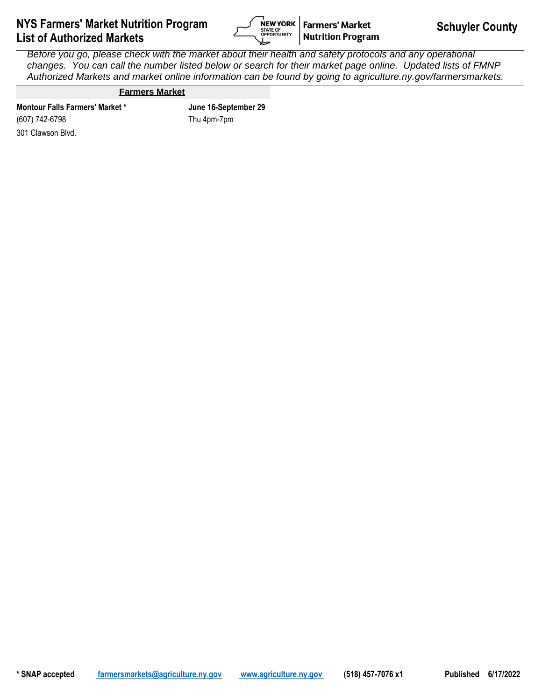

### **Farmers Market**

301 Clawson Blvd. **Montour Falls Farmers' Market \* June 16-September 29** (607) 742-6798

Thu 4pm-7pm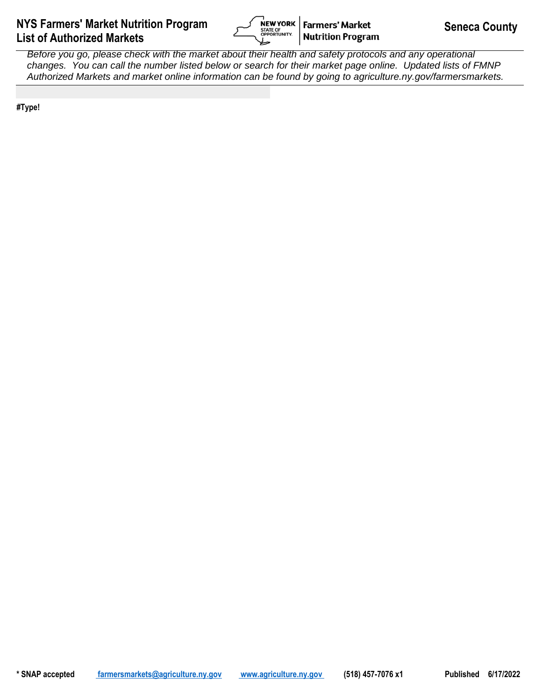

**#Type!**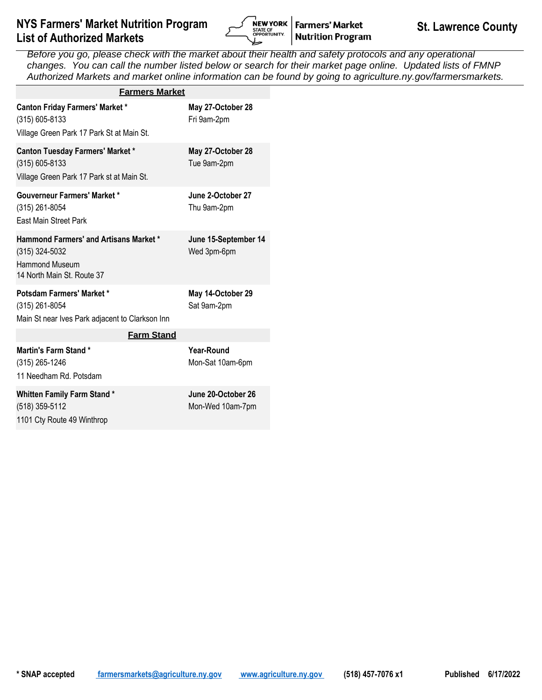

| <b>Farmers Market</b>                                                                                                  |                                        |
|------------------------------------------------------------------------------------------------------------------------|----------------------------------------|
| <b>Canton Friday Farmers' Market *</b><br>(315) 605-8133<br>Village Green Park 17 Park St at Main St.                  | May 27-October 28<br>Fri 9am-2pm       |
| <b>Canton Tuesday Farmers' Market *</b><br>(315) 605-8133<br>Village Green Park 17 Park st at Main St.                 | May 27-October 28<br>Tue 9am-2pm       |
| <b>Gouverneur Farmers' Market *</b><br>(315) 261-8054<br>East Main Street Park                                         | June 2-October 27<br>Thu 9am-2pm       |
| <b>Hammond Farmers' and Artisans Market *</b><br>(315) 324-5032<br><b>Hammond Museum</b><br>14 North Main St. Route 37 | June 15-September 14<br>Wed 3pm-6pm    |
| Potsdam Farmers' Market *<br>(315) 261-8054<br>Main St near Ives Park adjacent to Clarkson Inn                         | May 14-October 29<br>Sat 9am-2pm       |
| <b>Farm Stand</b>                                                                                                      |                                        |
| Martin's Farm Stand*<br>(315) 265-1246<br>11 Needham Rd. Potsdam                                                       | <b>Year-Round</b><br>Mon-Sat 10am-6pm  |
| <b>Whitten Family Farm Stand*</b><br>(518) 359-5112<br>1101 Cty Route 49 Winthrop                                      | June 20-October 26<br>Mon-Wed 10am-7pm |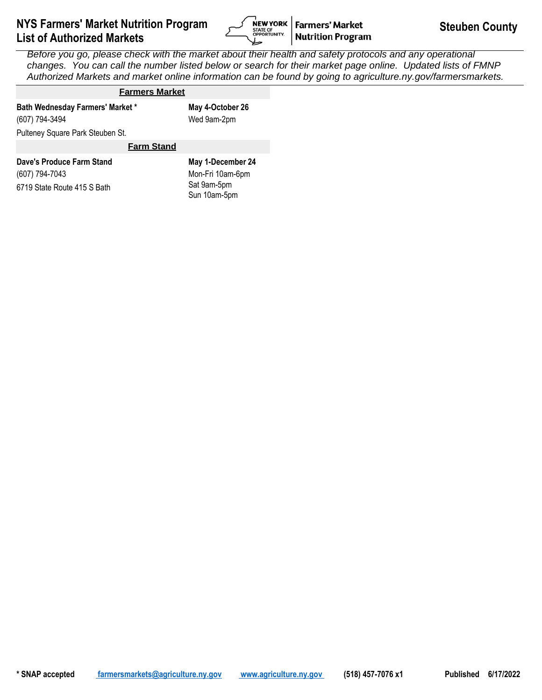

# **Farmers Market**

Pulteney Square Park Steuben St. Wed 9am-2pm **Bath Wednesday Farmers' Market \* May 4-October 26** (607) 794-3494

#### **Farm Stand**

| Dave's Produce Farm Stand   | May 1-December 24 |
|-----------------------------|-------------------|
| (607) 794-7043              | Mon-Fri 10am-6pm  |
| 6719 State Route 415 S Bath | Sat 9am-5pm       |
|                             | Sun 10am-5pm      |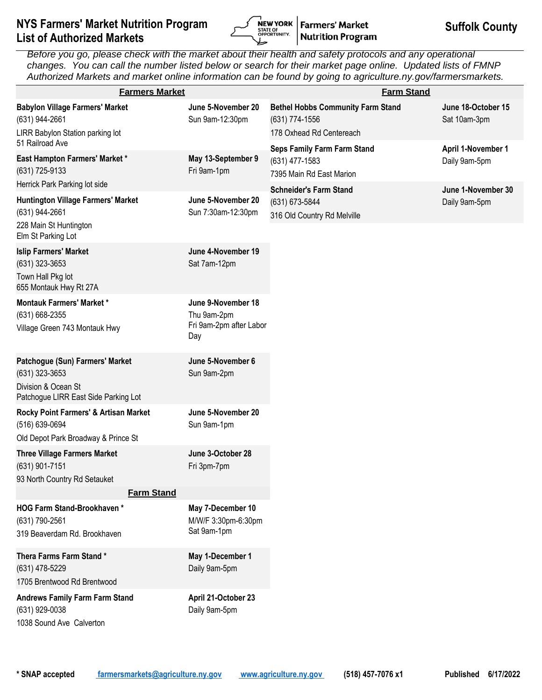

| <b>Farmers Market</b>                                                                                            |                                                                     | <b>Farm Stand</b>                                                                      |                                     |
|------------------------------------------------------------------------------------------------------------------|---------------------------------------------------------------------|----------------------------------------------------------------------------------------|-------------------------------------|
| <b>Babylon Village Farmers' Market</b><br>(631) 944-2661<br>LIRR Babylon Station parking lot                     | June 5-November 20<br>Sun 9am-12:30pm                               | <b>Bethel Hobbs Community Farm Stand</b><br>(631) 774-1556<br>178 Oxhead Rd Centereach | June 18-October 15<br>Sat 10am-3pm  |
| 51 Railroad Ave<br>East Hampton Farmers' Market *<br>(631) 725-9133<br>Herrick Park Parking lot side             | May 13-September 9<br>Fri 9am-1pm                                   | <b>Seps Family Farm Farm Stand</b><br>(631) 477-1583<br>7395 Main Rd East Marion       | April 1-November 1<br>Daily 9am-5pm |
| Huntington Village Farmers' Market<br>(631) 944-2661<br>228 Main St Huntington<br>Elm St Parking Lot             | June 5-November 20<br>Sun 7:30am-12:30pm                            | <b>Schneider's Farm Stand</b><br>(631) 673-5844<br>316 Old Country Rd Melville         | June 1-November 30<br>Daily 9am-5pm |
| <b>Islip Farmers' Market</b><br>$(631)$ 323-3653<br>Town Hall Pkg lot<br>655 Montauk Hwy Rt 27A                  | June 4-November 19<br>Sat 7am-12pm                                  |                                                                                        |                                     |
| <b>Montauk Farmers' Market*</b><br>(631) 668-2355<br>Village Green 743 Montauk Hwy                               | June 9-November 18<br>Thu 9am-2pm<br>Fri 9am-2pm after Labor<br>Day |                                                                                        |                                     |
| Patchogue (Sun) Farmers' Market<br>(631) 323-3653<br>Division & Ocean St<br>Patchogue LIRR East Side Parking Lot | June 5-November 6<br>Sun 9am-2pm                                    |                                                                                        |                                     |
| Rocky Point Farmers' & Artisan Market<br>(516) 639-0694<br>Old Depot Park Broadway & Prince St                   | June 5-November 20<br>Sun 9am-1pm                                   |                                                                                        |                                     |
| <b>Three Village Farmers Market</b><br>(631) 901-7151<br>93 North Country Rd Setauket                            | June 3-October 28<br>Fri 3pm-7pm                                    |                                                                                        |                                     |
| <b>Farm Stand</b>                                                                                                |                                                                     |                                                                                        |                                     |
| <b>HOG Farm Stand-Brookhaven*</b><br>(631) 790-2561<br>319 Beaverdam Rd. Brookhaven                              | May 7-December 10<br>M/W/F 3:30pm-6:30pm<br>Sat 9am-1pm             |                                                                                        |                                     |
| Thera Farms Farm Stand*<br>(631) 478-5229<br>1705 Brentwood Rd Brentwood                                         | May 1-December 1<br>Daily 9am-5pm                                   |                                                                                        |                                     |
| <b>Andrews Family Farm Farm Stand</b><br>(631) 929-0038<br>1038 Sound Ave Calverton                              | April 21-October 23<br>Daily 9am-5pm                                |                                                                                        |                                     |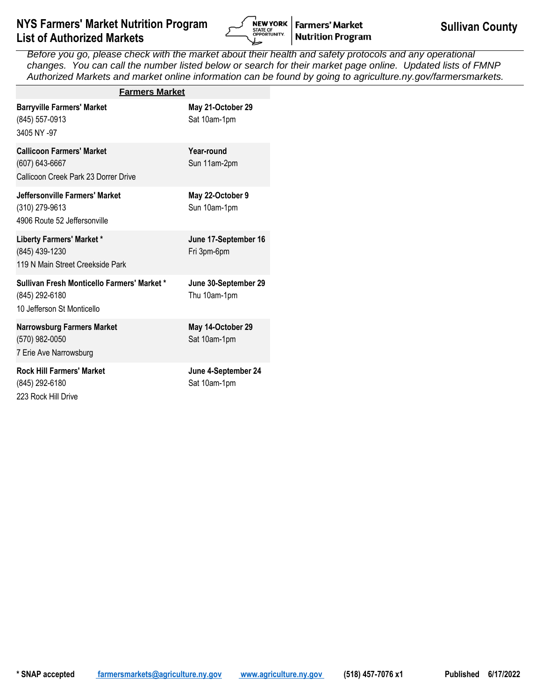

| <b>Farmers Market</b>                                                                       |                                      |
|---------------------------------------------------------------------------------------------|--------------------------------------|
| <b>Barryville Farmers' Market</b><br>(845) 557-0913<br>3405 NY -97                          | May 21-October 29<br>Sat 10am-1pm    |
| <b>Callicoon Farmers' Market</b><br>(607) 643-6667<br>Callicoon Creek Park 23 Dorrer Drive  | Year-round<br>Sun 11am-2pm           |
| Jeffersonville Farmers' Market<br>(310) 279-9613<br>4906 Route 52 Jeffersonville            | May 22-October 9<br>Sun 10am-1pm     |
| Liberty Farmers' Market *<br>(845) 439-1230<br>119 N Main Street Creekside Park             | June 17-September 16<br>Fri 3pm-6pm  |
| Sullivan Fresh Monticello Farmers' Market *<br>(845) 292-6180<br>10 Jefferson St Monticello | June 30-September 29<br>Thu 10am-1pm |
| <b>Narrowsburg Farmers Market</b><br>(570) 982-0050<br>7 Erie Ave Narrowsburg               | May 14-October 29<br>Sat 10am-1pm    |
| <b>Rock Hill Farmers' Market</b><br>(845) 292-6180<br>223 Rock Hill Drive                   | June 4-September 24<br>Sat 10am-1pm  |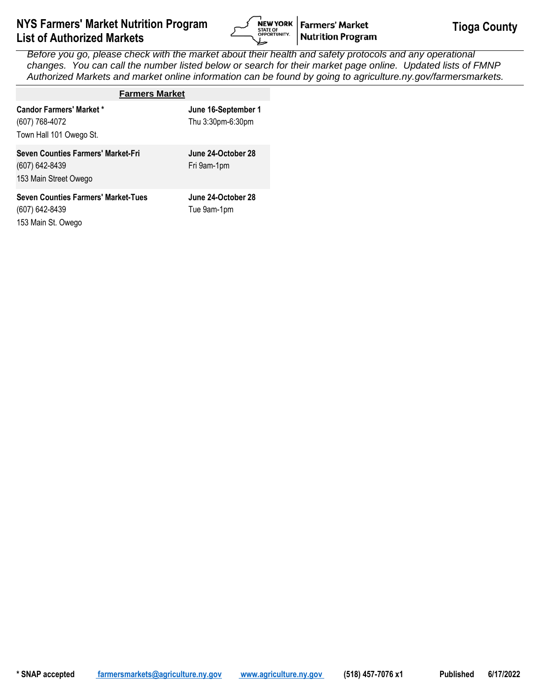

| <b>Farmers Market</b>                                                              |                                          |
|------------------------------------------------------------------------------------|------------------------------------------|
| <b>Candor Farmers' Market *</b><br>(607) 768-4072<br>Town Hall 101 Owego St.       | June 16-September 1<br>Thu 3:30pm-6:30pm |
| Seven Counties Farmers' Market-Fri<br>(607) 642-8439<br>153 Main Street Owego      | June 24-October 28<br>Fri 9am-1pm        |
| <b>Seven Counties Farmers' Market-Tues</b><br>(607) 642-8439<br>153 Main St. Owego | June 24-October 28<br>Tue 9am-1pm        |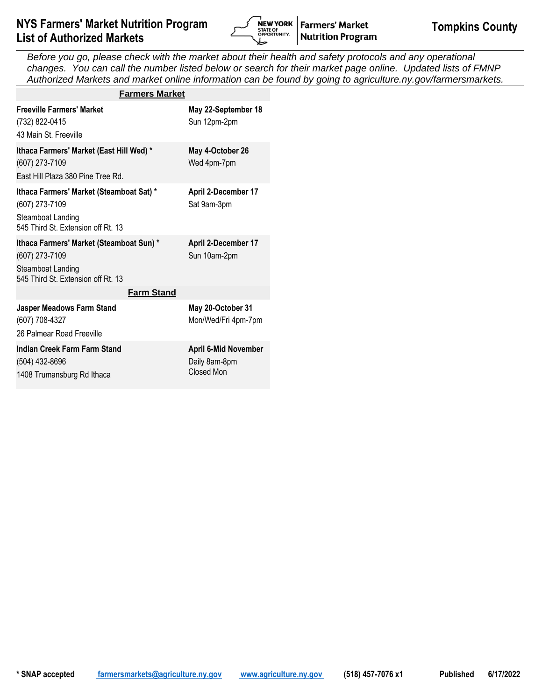

| <b>Farmers Market</b>                                                                                                 |                                                            |
|-----------------------------------------------------------------------------------------------------------------------|------------------------------------------------------------|
| <b>Freeville Farmers' Market</b><br>(732) 822-0415<br>43 Main St. Freeville                                           | May 22-September 18<br>Sun 12pm-2pm                        |
| Ithaca Farmers' Market (East Hill Wed) *<br>(607) 273-7109<br>East Hill Plaza 380 Pine Tree Rd.                       | May 4-October 26<br>Wed 4pm-7pm                            |
| Ithaca Farmers' Market (Steamboat Sat) *<br>(607) 273-7109<br>Steamboat Landing<br>545 Third St. Extension off Rt. 13 | April 2-December 17<br>Sat 9am-3pm                         |
| Ithaca Farmers' Market (Steamboat Sun) *<br>(607) 273-7109<br>Steamboat Landing<br>545 Third St. Extension off Rt. 13 | April 2-December 17<br>Sun 10am-2pm                        |
| <b>Farm Stand</b>                                                                                                     |                                                            |
| <b>Jasper Meadows Farm Stand</b><br>(607) 708-4327<br>26 Palmear Road Freeville                                       | May 20-October 31<br>Mon/Wed/Fri 4pm-7pm                   |
| Indian Creek Farm Farm Stand<br>(504) 432-8696<br>1408 Trumansburg Rd Ithaca                                          | <b>April 6-Mid November</b><br>Daily 8am-8pm<br>Closed Mon |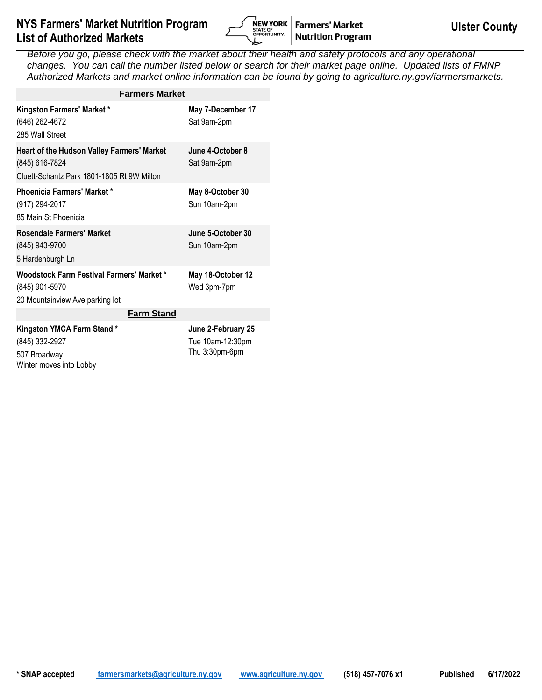

| <b>Farmers Market</b>                                                                                      |                                                          |
|------------------------------------------------------------------------------------------------------------|----------------------------------------------------------|
| <b>Kingston Farmers' Market *</b><br>(646) 262-4672<br>285 Wall Street                                     | May 7-December 17<br>Sat 9am-2pm                         |
| Heart of the Hudson Valley Farmers' Market<br>(845) 616-7824<br>Cluett-Schantz Park 1801-1805 Rt 9W Milton | June 4-October 8<br>Sat 9am-2pm                          |
| Phoenicia Farmers' Market *<br>(917) 294-2017<br>85 Main St Phoenicia                                      | May 8-October 30<br>Sun 10am-2pm                         |
| <b>Rosendale Farmers' Market</b><br>(845) 943-9700<br>5 Hardenburgh Ln                                     | June 5-October 30<br>Sun 10am-2pm                        |
| <b>Woodstock Farm Festival Farmers' Market *</b><br>(845) 901-5970<br>20 Mountainview Ave parking lot      | May 18-October 12<br>Wed 3pm-7pm                         |
| <b>Farm Stand</b>                                                                                          |                                                          |
| Kingston YMCA Farm Stand*<br>(845) 332-2927<br>507 Broadway<br>Winter moves into Lobby                     | June 2-February 25<br>Tue 10am-12:30pm<br>Thu 3:30pm-6pm |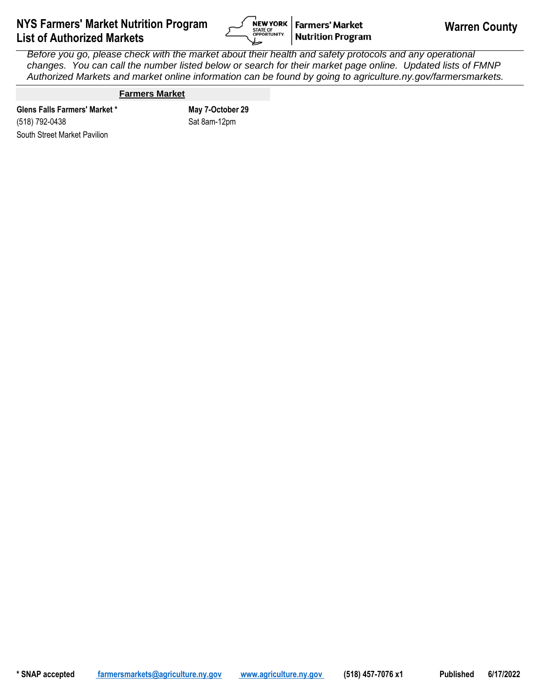

## **Farmers Market**

South Street Market Pavilion **Glens Falls Farmers' Market \* May 7-October 29** (518) 792-0438

Sat 8am-12pm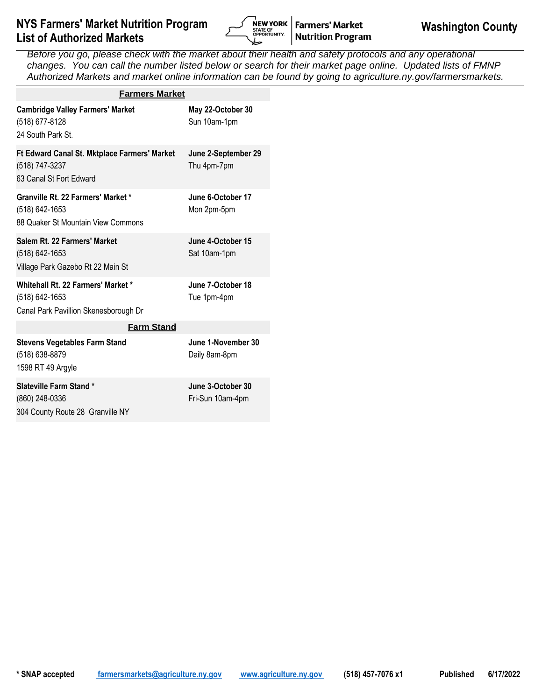

| <b>Farmers Market</b>                                                                         |                                       |
|-----------------------------------------------------------------------------------------------|---------------------------------------|
| <b>Cambridge Valley Farmers' Market</b><br>(518) 677-8128<br>24 South Park St.                | May 22-October 30<br>Sun 10am-1pm     |
| Ft Edward Canal St. Mktplace Farmers' Market<br>(518) 747-3237<br>63 Canal St Fort Edward     | June 2-September 29<br>Thu 4pm-7pm    |
| Granville Rt. 22 Farmers' Market *<br>(518) 642-1653<br>88 Quaker St Mountain View Commons    | June 6-October 17<br>Mon 2pm-5pm      |
| Salem Rt. 22 Farmers' Market<br>(518) 642-1653<br>Village Park Gazebo Rt 22 Main St           | June 4-October 15<br>Sat 10am-1pm     |
| Whitehall Rt. 22 Farmers' Market *<br>(518) 642-1653<br>Canal Park Pavillion Skenesborough Dr | June 7-October 18<br>Tue 1pm-4pm      |
| <b>Farm Stand</b>                                                                             |                                       |
| <b>Stevens Vegetables Farm Stand</b><br>(518) 638-8879<br>1598 RT 49 Argyle                   | June 1-November 30<br>Daily 8am-8pm   |
| Slateville Farm Stand*<br>(860) 248-0336<br>304 County Route 28 Granville NY                  | June 3-October 30<br>Fri-Sun 10am-4pm |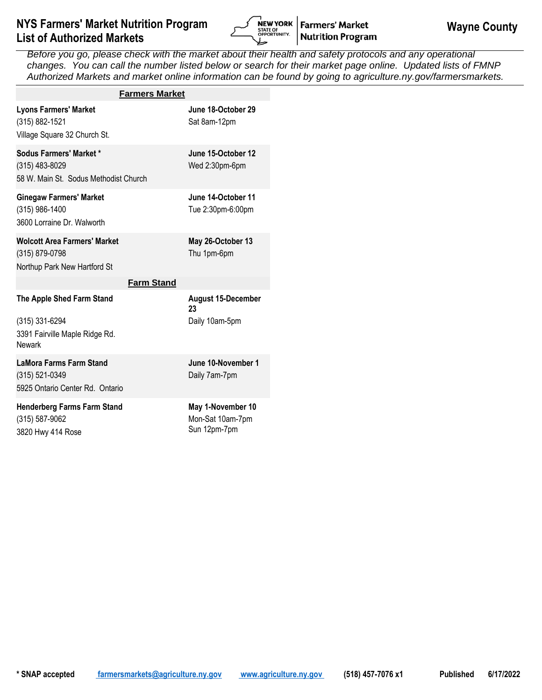

| <b>Farmers Market</b>                                                                          |                                                       |
|------------------------------------------------------------------------------------------------|-------------------------------------------------------|
| <b>Lyons Farmers' Market</b><br>(315) 882-1521<br>Village Square 32 Church St.                 | June 18-October 29<br>Sat 8am-12pm                    |
| Sodus Farmers' Market *<br>(315) 483-8029<br>58 W. Main St. Sodus Methodist Church             | June 15-October 12<br>Wed 2:30pm-6pm                  |
| <b>Ginegaw Farmers' Market</b><br>(315) 986-1400<br>3600 Lorraine Dr. Walworth                 | June 14-October 11<br>Tue 2:30pm-6:00pm               |
| <b>Wolcott Area Farmers' Market</b><br>(315) 879-0798<br>Northup Park New Hartford St          | May 26-October 13<br>Thu 1pm-6pm                      |
| <b>Farm Stand</b>                                                                              |                                                       |
| The Apple Shed Farm Stand<br>(315) 331-6294<br>3391 Fairville Maple Ridge Rd.<br><b>Newark</b> | <b>August 15-December</b><br>23<br>Daily 10am-5pm     |
| <b>LaMora Farms Farm Stand</b><br>(315) 521-0349<br>5925 Ontario Center Rd. Ontario            | June 10-November 1<br>Daily 7am-7pm                   |
| <b>Henderberg Farms Farm Stand</b><br>(315) 587-9062<br>3820 Hwy 414 Rose                      | May 1-November 10<br>Mon-Sat 10am-7pm<br>Sun 12pm-7pm |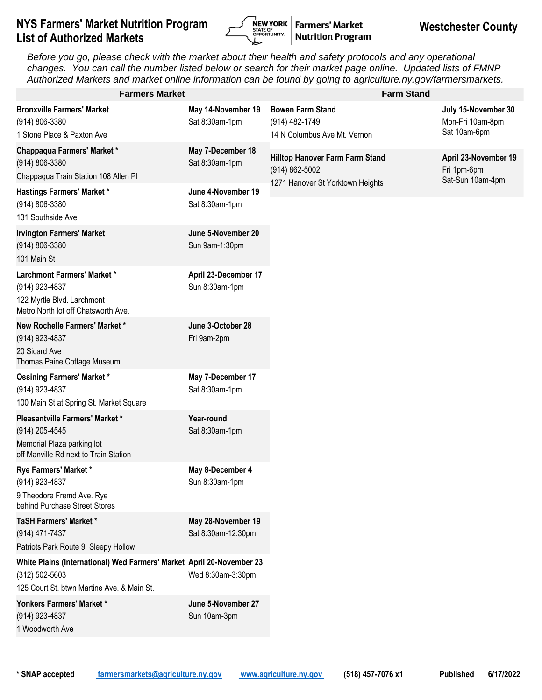

| <b>Farmers Market</b>                                                                                                                     |                                          | <b>Farm Stand</b>                                                                     |                                                         |
|-------------------------------------------------------------------------------------------------------------------------------------------|------------------------------------------|---------------------------------------------------------------------------------------|---------------------------------------------------------|
| <b>Bronxville Farmers' Market</b><br>(914) 806-3380<br>1 Stone Place & Paxton Ave                                                         | May 14-November 19<br>Sat 8:30am-1pm     | <b>Bowen Farm Stand</b><br>(914) 482-1749<br>14 N Columbus Ave Mt. Vernon             | July 15-November 30<br>Mon-Fri 10am-8pm<br>Sat 10am-6pm |
| Chappaqua Farmers' Market*<br>(914) 806-3380<br>Chappaqua Train Station 108 Allen Pl                                                      | May 7-December 18<br>Sat 8:30am-1pm      | Hilltop Hanover Farm Farm Stand<br>(914) 862-5002<br>1271 Hanover St Yorktown Heights | April 23-November 19<br>Fri 1pm-6pm<br>Sat-Sun 10am-4pm |
| <b>Hastings Farmers' Market *</b><br>(914) 806-3380<br>131 Southside Ave                                                                  | June 4-November 19<br>Sat 8:30am-1pm     |                                                                                       |                                                         |
| <b>Irvington Farmers' Market</b><br>(914) 806-3380<br>101 Main St                                                                         | June 5-November 20<br>Sun 9am-1:30pm     |                                                                                       |                                                         |
| <b>Larchmont Farmers' Market *</b><br>(914) 923-4837<br>122 Myrtle Blvd. Larchmont<br>Metro North lot off Chatsworth Ave.                 | April 23-December 17<br>Sun 8:30am-1pm   |                                                                                       |                                                         |
| New Rochelle Farmers' Market *<br>(914) 923-4837<br>20 Sicard Ave<br>Thomas Paine Cottage Museum                                          | June 3-October 28<br>Fri 9am-2pm         |                                                                                       |                                                         |
| <b>Ossining Farmers' Market *</b><br>(914) 923-4837<br>100 Main St at Spring St. Market Square                                            | May 7-December 17<br>Sat 8:30am-1pm      |                                                                                       |                                                         |
| Pleasantville Farmers' Market *<br>(914) 205-4545<br>Memorial Plaza parking lot<br>off Manville Rd next to Train Station                  | Year-round<br>Sat 8:30am-1pm             |                                                                                       |                                                         |
| Rye Farmers' Market *<br>(914) 923-4837<br>9 Theodore Fremd Ave. Rye<br>behind Purchase Street Stores                                     | May 8-December 4<br>Sun 8:30am-1pm       |                                                                                       |                                                         |
| <b>TaSH Farmers' Market *</b><br>(914) 471-7437<br>Patriots Park Route 9 Sleepy Hollow                                                    | May 28-November 19<br>Sat 8:30am-12:30pm |                                                                                       |                                                         |
| White Plains (International) Wed Farmers' Market April 20-November 23<br>$(312) 502 - 5603$<br>125 Court St. btwn Martine Ave. & Main St. | Wed 8:30am-3:30pm                        |                                                                                       |                                                         |
| Yonkers Farmers' Market *<br>(914) 923-4837<br>1 Woodworth Ave                                                                            | June 5-November 27<br>Sun 10am-3pm       |                                                                                       |                                                         |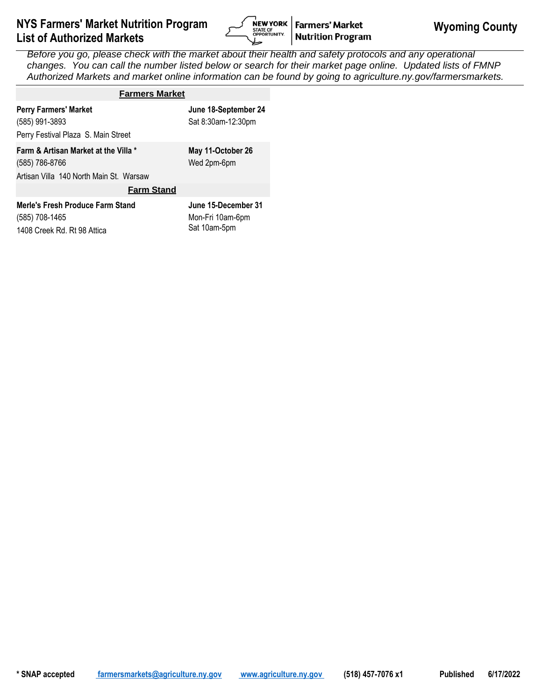

| <b>Farmers Market</b>                                                                             |                                                         |  |  |  |
|---------------------------------------------------------------------------------------------------|---------------------------------------------------------|--|--|--|
| <b>Perry Farmers' Market</b><br>(585) 991-3893<br>Perry Festival Plaza S. Main Street             | June 18-September 24<br>Sat 8:30am-12:30pm              |  |  |  |
| Farm & Artisan Market at the Villa *<br>(585) 786-8766<br>Artisan Villa 140 North Main St. Warsaw | May 11-October 26<br>Wed 2pm-6pm                        |  |  |  |
| <b>Farm Stand</b>                                                                                 |                                                         |  |  |  |
| Merle's Fresh Produce Farm Stand<br>(585) 708-1465<br>1408 Creek Rd, Rt 98 Attica                 | June 15-December 31<br>Mon-Fri 10am-6pm<br>Sat 10am-5pm |  |  |  |